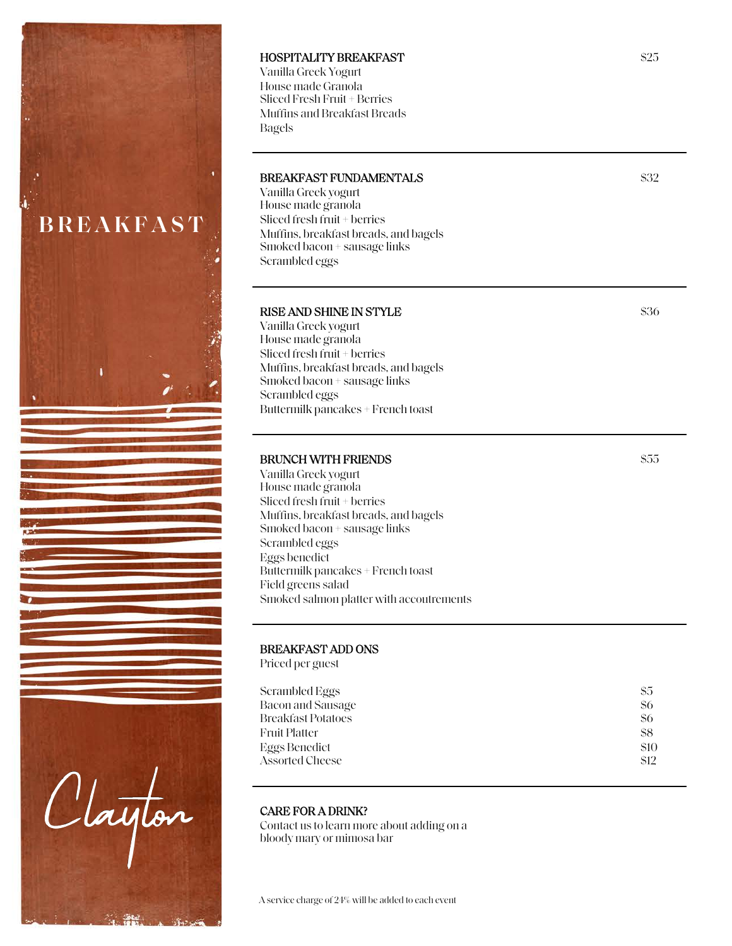

### HOSPITALITY BREAKFAST

Vanilla Greek Yogurt House made Granola Sliced Fresh Fruit + Berries Muffins and Breakfast Breads Bagels

#### BREAKFAST FUNDAMENTALS

Vanilla Greek yogurt House made granola Sliced fresh fruit + berries Muffins, breakfast breads, and bagels Smoked bacon + sausage links Scrambled eggs

### RISE AND SHINE IN STYLE

Vanilla Greek yogurt House made granola Sliced fresh fruit + berries Muffins, breakfast breads, and bagels Smoked bacon + sausage links Scrambled eggs Buttermilk pancakes + French toast

### BRUNCH WITH FRIENDS

Vanilla Greek yogurt House made granola Sliced fresh fruit + berries Muffins, breakfast breads, and bagels Smoked bacon + sausage links Scrambled eggs Eggs benedict Buttermilk pancakes + French toast Field greens salad Smoked salmon platter with accoutrements

### BREAKFAST ADD ONS

Priced per guest

| Scrambled Eggs            | \$5  |
|---------------------------|------|
| Bacon and Sausage         | \$6  |
| <b>Breakfast Potatoes</b> | \$6  |
| <b>Fruit Platter</b>      | \$8  |
| Eggs Benedict             | \$10 |
| Assorted Cheese           | \$12 |

#### CARE FOR A DRINK?

Contact us to learn more about adding on a bloody mary or mimosa bar

#### \$25

\$32

\$36

\$55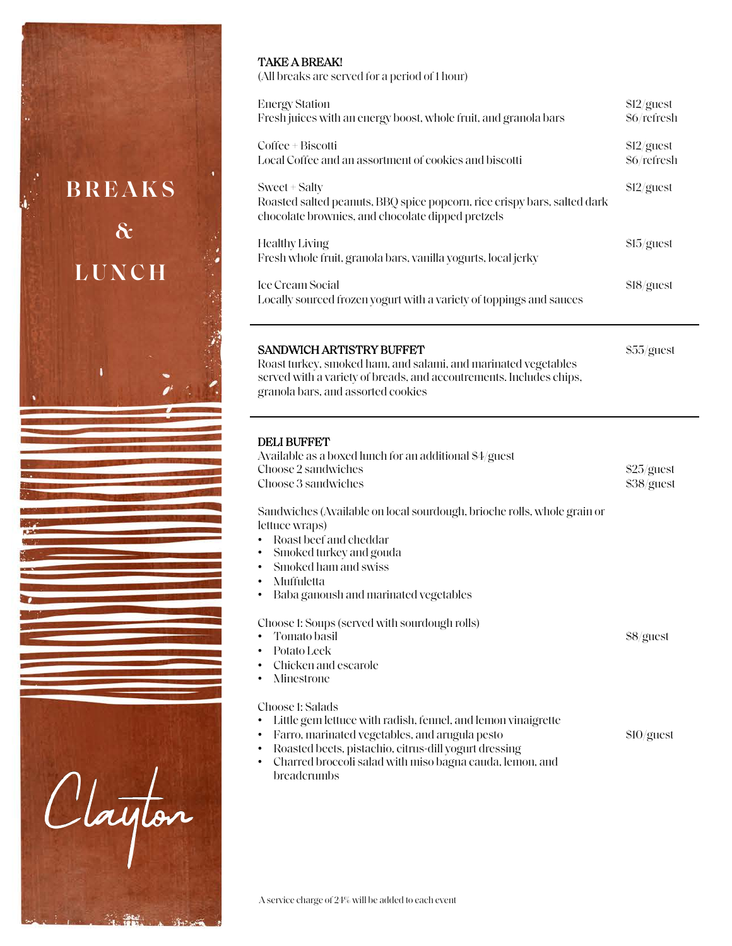

## TAKE A BREAK!

(All breaks are served for a period of 1 hour)

| <b>Energy Station</b><br>Fresh juices with an energy boost, whole fruit, and granola bars                                                      | \$12/guest<br>\$6/refresh |
|------------------------------------------------------------------------------------------------------------------------------------------------|---------------------------|
| Coffee + Biscotti<br>Local Coffee and an assortment of cookies and biscotti                                                                    | \$12/guest<br>\$6/refresh |
| Sweet + Salty<br>Roasted salted peanuts, BBQ spice popcorn, rice crispy bars, salted dark<br>chocolate brownies, and chocolate dipped pretzels | $$12/g$ uest              |
| Healthy Living<br>Fresh whole fruit, granola bars, vanilla yogurts, local jerky                                                                | \$15/guest                |
| <b>Ice Cream Social</b><br>Locally sourced frozen yogurt with a variety of toppings and sauces                                                 | \$18/guest                |

\$55/guest

\$8/guest

\$10/guest

## SANDWICH ARTISTRY BUFFET

Roast turkey, smoked ham, and salami, and marinated vegetables served with a variety of breads, and accoutrements. Includes chips, granola bars, and assorted cookies

### DELI BUFFET

| Available as a boxed lunch for an additional \$4/guest<br>Choose 2 sandwiches | $$25/g$ uest |
|-------------------------------------------------------------------------------|--------------|
| Choose 3 sandwiches                                                           | \$38/guest   |
| Sandwiches (Available on local sourdough, brioche rolls, whole grain or       |              |
| lettuce wraps)                                                                |              |
| Roast beef and cheddar<br>$\bullet$                                           |              |
| • Smoked turkey and gouda                                                     |              |
|                                                                               |              |

- Smoked ham and swiss
- Muffuletta
- Baba ganoush and marinated vegetables

Choose 1: Soups (served with sourdough rolls)

- Tomato basil
- Potato Leek
- Chicken and escarole
- **Minestrone**

Choose 1: Salads

- Little gem lettuce with radish, fennel, and lemon vinaigrette
- Farro, marinated vegetables, and arugula pesto
- Roasted beets, pistachio, citrus-dill yogurt dressing
- Charred broccoli salad with miso bagna cauda, lemon, and breadcrumbs

A service charge of 24% will be added to each event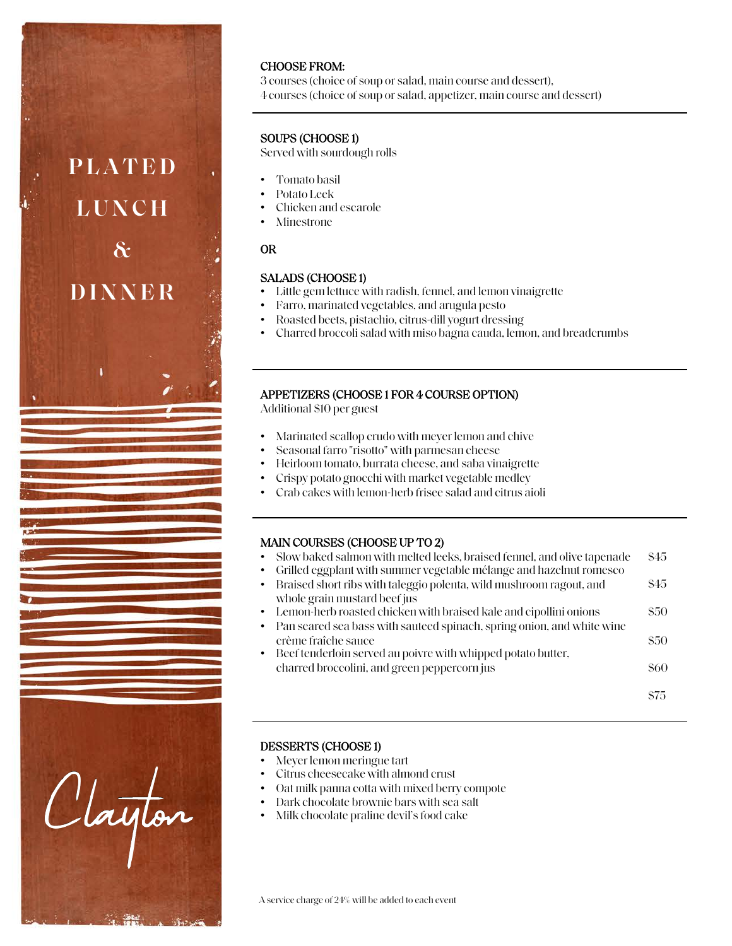

## CHOOSE FROM:

3 courses (choice of soup or salad, main course and dessert), 4 courses (choice of soup or salad, appetizer, main course and dessert)

# SOUPS (CHOOSE 1)

Served with sourdough rolls

- Tomato basil
- Potato Leek
- Chicken and escarole
- **Minestrone**

## OR

### SALADS (CHOOSE 1)

- Little gem lettuce with radish, fennel, and lemon vinaigrette
- Farro, marinated vegetables, and arugula pesto
- Roasted beets, pistachio, citrus-dill yogurt dressing
- Charred broccoli salad with miso bagna cauda, lemon, and breadcrumbs

## APPETIZERS (CHOOSE 1 FOR 4 COURSE OPTION)

Additional \$10 per guest

- Marinated scallop crudo with meyerlemon and chive
- Seasonal farro "risotto" with parmesan cheese
- Heirloom tomato, burrata cheese, and saba vinaigrette
- Crispy potato gnocchi with market vegetable medley
- Crab cakes with lemon-herb frisee salad and citrus aioli

## MAIN COURSES (CHOOSE UP TO 2)

- Slow baked salmon with melted leeks, braised fennel, and olive tapenade \$45
- Grilled eggplant with summer vegetable mélange and hazelnut romesco
- Braised short ribs with taleggio polenta, wild mushroom ragout, and whole grain mustard beef jus \$45
- Lemon-herb roasted chicken with braised kale and cipollini onions \$50
- Pan seared sea bass with sauteed spinach, spring onion, and white wine crème fraîche sauce \$50
- Beef tenderloin served au poivre with whipped potato butter, charred broccolini, and green peppercorn jus \$60

## DESSERTS (CHOOSE 1)

- Meyer lemon meringue tart
- Citrus cheesecake with almond crust
- Oat milk panna cotta with mixed berry compote
- Dark chocolate brownie bars with sea salt
- Milk chocolate praline devil's food cake

A service charge of 24% will be added to each event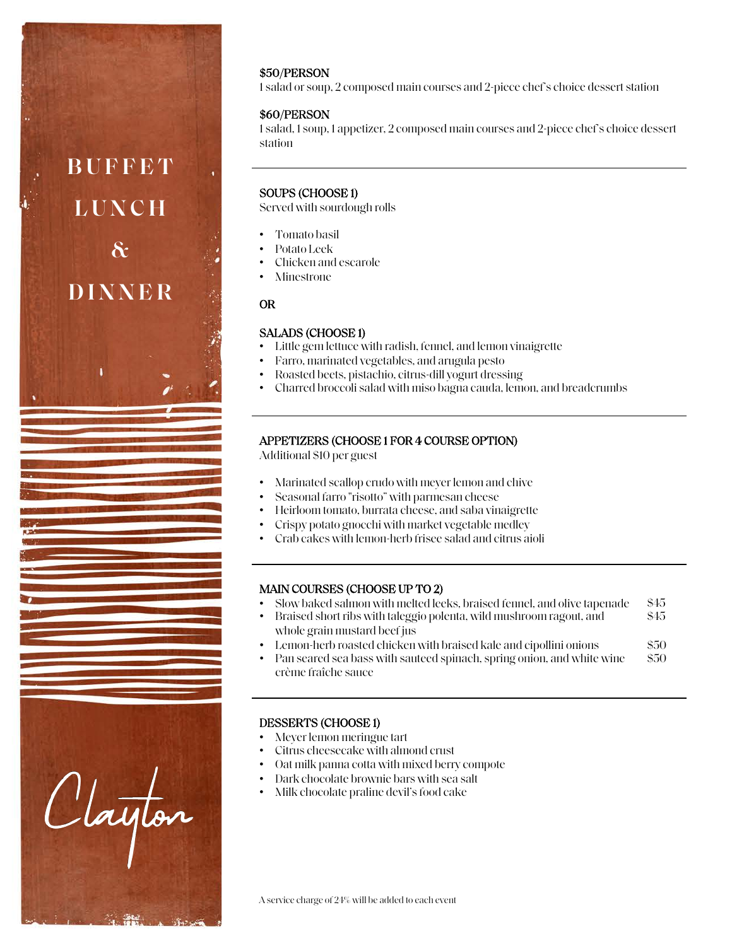### \$50/PERSON

1 salad or soup, 2 composed main courses and 2-piece chef's choice dessert station

### \$60/PERSON

1 salad, 1 soup, 1 appetizer, 2 composed main courses and 2-piece chef's choice dessert station

### SOUPS (CHOOSE 1)

Served with sourdough rolls

- Tomato basil
- Potato Leek
- Chicken and escarole
- **Minestrone**

### OR

**BUFFET** 

**LUNCH** 

**&**

**DINNER**

Clayton

### SALADS (CHOOSE 1)

- Little gem lettuce with radish, fennel, and lemon vinaigrette
- Farro, marinated vegetables, and arugula pesto
- Roasted beets, pistachio, citrus-dill yogurt dressing
- Charred broccoli salad with miso bagna cauda, lemon, and breadcrumbs

### APPETIZERS (CHOOSE 1 FOR 4 COURSE OPTION)

Additional \$10 per guest

- Marinated scallop crudo with meyerlemon and chive
- Seasonal farro "risotto" with parmesan cheese
- Heirloom tomato, burrata cheese, and saba vinaigrette
- Crispy potato gnocchi with market vegetable medley
- Crab cakes with lemon-herb frisee salad and citrus aioli

### MAIN COURSES (CHOOSE UP TO 2)

- Slow baked salmon with melted leeks, braised fennel, and olive tapenade \$45
- Braised short ribs with taleggio polenta, wild mushroom ragout, and \$45
- whole grain mustard beef jus • Lemon-herb roasted chicken with braised kale and cipollini onions \$50
- Pan seared sea bass with sauteed spinach, spring onion, and white wine \$50
- crème fraîche sauce

### DESSERTS (CHOOSE 1)

- Meyer lemon meringue tart
- Citrus cheesecake with almond crust
- Oat milk panna cotta with mixed berry compote
- Dark chocolate brownie bars with sea salt
- Milk chocolate praline devil's food cake

A service charge of 24% will be added to each event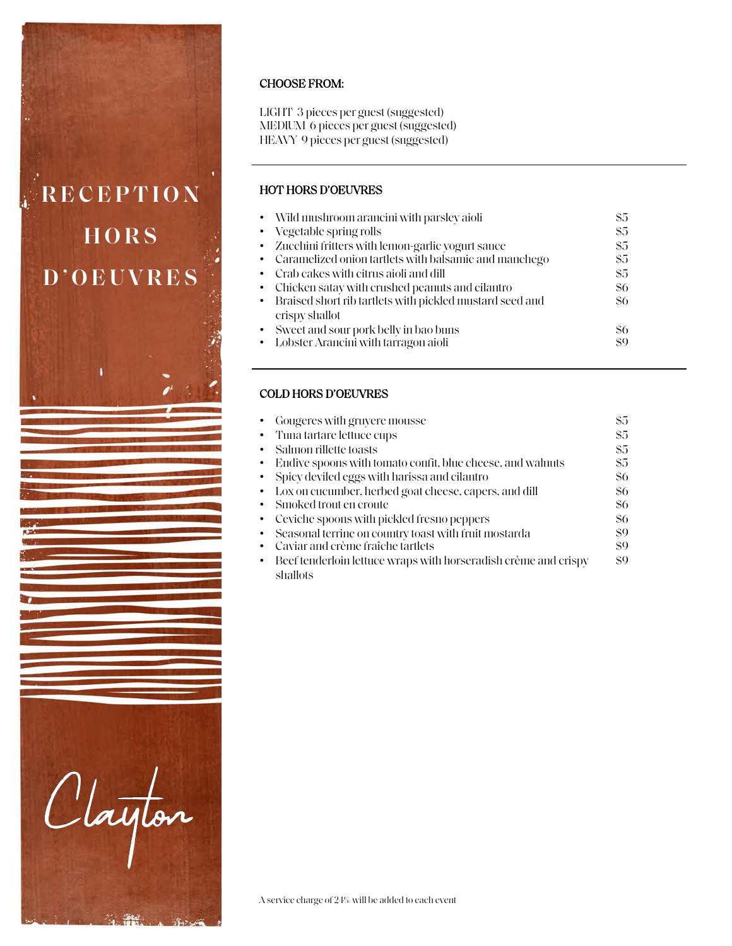

## CHOOSE FROM:

LIGHT 3 pieces per guest (suggested) MEDIUM 6 pieces per guest (suggested) HEAVY 9 pieces per guest (suggested)

## HOT HORS D'OEUVRES

| • Wild mushroom arancini with parsley aioli                | \$5 |
|------------------------------------------------------------|-----|
| • Vegetable spring rolls                                   | \$5 |
| • Zucchini fritters with lemon-garlic yogurt sauce         | \$5 |
| • Caramelized onion tartlets with balsamic and manchego    | \$5 |
| • Crab cakes with citrus aioli and dill                    | \$5 |
| • Chicken satay with crushed peanuts and cilantro          | \$6 |
| • Braised short rib tartlets with pickled mustard seed and | \$6 |
| crispy shallot                                             |     |
| • Sweet and sour pork belly in bao buns                    | \$6 |
| • Lobster Arancini with tarragon aioli                     | \$9 |

## COLD HORS D'OEUVRES

| • Gougeres with gruyere mousse                                  | \$5 |
|-----------------------------------------------------------------|-----|
| • Tuna tartare lettuce cups                                     | \$5 |
| • Salmon rillette toasts                                        | \$5 |
| • Endive spoons with tomato confit, blue cheese, and walnuts    | \$5 |
| • Spicy deviled eggs with harissa and cilantro                  | \$6 |
| • Lox on cucumber, herbed goat cheese, capers, and dill         | \$6 |
| • Smoked trout en croute                                        | \$6 |
| • Ceviche spoons with pickled fresno peppers                    | \$6 |
| Seasonal terrine on country toast with fruit mostarda           | \$9 |
| Caviar and crème fraîche tartlets                               | \$9 |
| Beef tenderloin lettuce wraps with horseradish crème and crispy | \$9 |
| shallots                                                        |     |